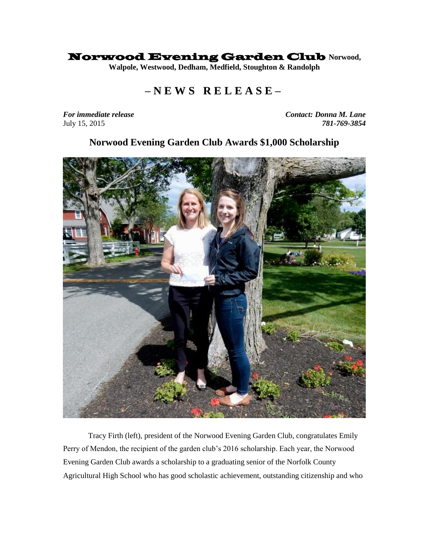Norwood Evening Garden Club **Norwood,** 

**Walpole, Westwood, Dedham, Medfield, Stoughton & Randolph**

## **– N E W S R E L E A S E –**

*For immediate release Contact: Donna M. Lane*  July 15, 2015 *781-769-3854*

## **Norwood Evening Garden Club Awards \$1,000 Scholarship**



Tracy Firth (left), president of the Norwood Evening Garden Club, congratulates Emily Perry of Mendon, the recipient of the garden club's 2016 scholarship. Each year, the Norwood Evening Garden Club awards a scholarship to a graduating senior of the Norfolk County Agricultural High School who has good scholastic achievement, outstanding citizenship and who